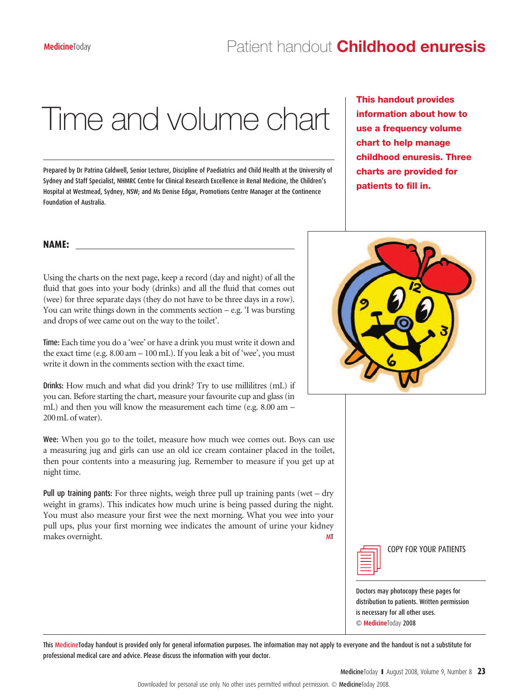## Time and volume chart

Prepared by Dr Patrina Caldwell, Senior Lecturer, Discipline of Paediatrics and Child Health at the University of Sydney and Staff Specialist, NHMRC Centre for Clinical Research Excellence in Renal Medicine, the Children's Hospital at Westmead, Sydney, NSW; and Ms Denise Edgar, Promotions Centre Manager at the Continence Foundation of Australia.

**This handout provides information about how to use a frequency volume chart to help manage childhood enuresis. Three charts are provided for patients to fill in.**

## **NAME:**

Using the charts on the next page, keep a record (day and night) of all the fluid that goes into your body (drinks) and all the fluid that comes out (wee) for three separate days (they do not have to be three days in a row). You can write things down in the comments section – e.g. 'I was bursting and drops of wee came out on the way to the toilet'.

Time: Each time you do a 'wee' or have a drink you must write it down and the exact time (e.g. 8.00 am – 100 mL). If you leak a bit of 'wee', you must write it down in the comments section with the exact time.

Drinks: How much and what did you drink? Try to use millilitres (mL) if you can. Before starting the chart, measure your favourite cup and glass (in mL) and then you will know the measurement each time (e.g. 8.00 am – 200mL of water).

Wee: When you go to the toilet, measure how much wee comes out. Boys can use a measuring jug and girls can use an old ice cream container placed in the toilet, then pour contents into a measuring jug. Remember to measure if you get up at night time.

Pull up training pants: For three nights, weigh three pull up training pants (wet – dry weight in grams). This indicates how much urine is being passed during the night. You must also measure your first wee the next morning. What you wee into your pull ups, plus your first morning wee indicates the amount of urine your kidney makes overnight. MT





COPY FOR YOUR PATIENTS

Doctors may photocopy these pages for distribution to patients. Written permission is necessary for all other uses. © **Medicine**Today 2008 Downloaded for personal use only. No other uses permitted without permission. © MedicineToday 2009.

This MedicineToday handout is provided only for general information purposes. The information may not apply to everyone and the handout is not a substitute for professional medical care and advice. Please discuss the information with your doctor.